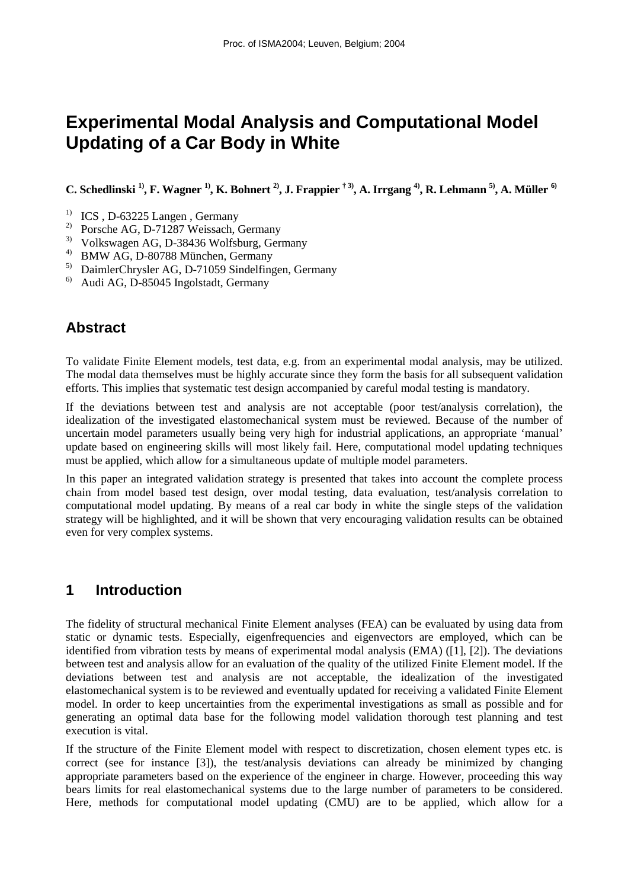# **Experimental Modal Analysis and Computational Model Updating of a Car Body in White**

**C. Schedlinski 1), F. Wagner 1), K. Bohnert 2), J. Frappier † 3), A. Irrgang 4), R. Lehmann 5), A. Müller 6)**

- <sup>1)</sup> ICS, D-63225 Langen, Germany<br><sup>2)</sup> Porsche AG, D 71287 Weissach
- 2) Porsche AG, D-71287 Weissach, Germany
- <sup>3)</sup> Volkswagen AG, D-38436 Wolfsburg, Germany<br><sup>4)</sup> BMW AG, D. 80788 München, Germany
- 4) BMW AG, D-80788 München, Germany
- 5) DaimlerChrysler AG, D-71059 Sindelfingen, Germany
- 6) Audi AG, D-85045 Ingolstadt, Germany

# **Abstract**

To validate Finite Element models, test data, e.g. from an experimental modal analysis, may be utilized. The modal data themselves must be highly accurate since they form the basis for all subsequent validation efforts. This implies that systematic test design accompanied by careful modal testing is mandatory.

If the deviations between test and analysis are not acceptable (poor test/analysis correlation), the idealization of the investigated elastomechanical system must be reviewed. Because of the number of uncertain model parameters usually being very high for industrial applications, an appropriate 'manual' update based on engineering skills will most likely fail. Here, computational model updating techniques must be applied, which allow for a simultaneous update of multiple model parameters.

In this paper an integrated validation strategy is presented that takes into account the complete process chain from model based test design, over modal testing, data evaluation, test/analysis correlation to computational model updating. By means of a real car body in white the single steps of the validation strategy will be highlighted, and it will be shown that very encouraging validation results can be obtained even for very complex systems.

# **1 Introduction**

The fidelity of structural mechanical Finite Element analyses (FEA) can be evaluated by using data from static or dynamic tests. Especially, eigenfrequencies and eigenvectors are employed, which can be identified from vibration tests by means of experimental modal analysis (EMA) ([1], [2]). The deviations between test and analysis allow for an evaluation of the quality of the utilized Finite Element model. If the deviations between test and analysis are not acceptable, the idealization of the investigated elastomechanical system is to be reviewed and eventually updated for receiving a validated Finite Element model. In order to keep uncertainties from the experimental investigations as small as possible and for generating an optimal data base for the following model validation thorough test planning and test execution is vital.

If the structure of the Finite Element model with respect to discretization, chosen element types etc. is correct (see for instance [3]), the test/analysis deviations can already be minimized by changing appropriate parameters based on the experience of the engineer in charge. However, proceeding this way bears limits for real elastomechanical systems due to the large number of parameters to be considered. Here, methods for computational model updating (CMU) are to be applied, which allow for a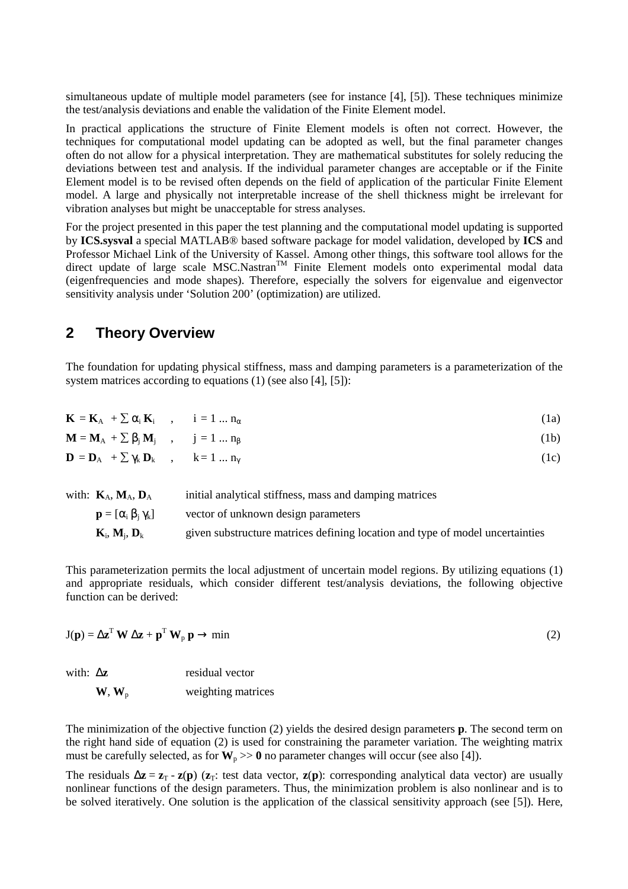simultaneous update of multiple model parameters (see for instance [4], [5]). These techniques minimize the test/analysis deviations and enable the validation of the Finite Element model.

In practical applications the structure of Finite Element models is often not correct. However, the techniques for computational model updating can be adopted as well, but the final parameter changes often do not allow for a physical interpretation. They are mathematical substitutes for solely reducing the deviations between test and analysis. If the individual parameter changes are acceptable or if the Finite Element model is to be revised often depends on the field of application of the particular Finite Element model. A large and physically not interpretable increase of the shell thickness might be irrelevant for vibration analyses but might be unacceptable for stress analyses.

For the project presented in this paper the test planning and the computational model updating is supported by **ICS.sysval** a special MATLAB® based software package for model validation, developed by **ICS** and Professor Michael Link of the University of Kassel. Among other things, this software tool allows for the direct update of large scale  $MSC.Nastran<sup>TM</sup>$  Finite Element models onto experimental modal data (eigenfrequencies and mode shapes). Therefore, especially the solvers for eigenvalue and eigenvector sensitivity analysis under 'Solution 200' (optimization) are utilized.

### **2 Theory Overview**

The foundation for updating physical stiffness, mass and damping parameters is a parameterization of the system matrices according to equations (1) (see also [4], [5]):

| with: $K_A$ , $M_A$ , $D_A$                                                          | initial analytical stiffness, mass and damping matrices |      |
|--------------------------------------------------------------------------------------|---------------------------------------------------------|------|
| $\mathbf{D} = \mathbf{D}_A + \sum \gamma_k \mathbf{D}_k$ , $k = 1  n_{\gamma}$       |                                                         | (1c) |
| $\mathbf{M} = \mathbf{M}_{A} + \sum \beta_{i} \mathbf{M}_{i}$ , $j = 1  n_{\beta}$   |                                                         | (1b) |
| $\mathbf{K} = \mathbf{K}_{A} + \sum \alpha_{i} \mathbf{K}_{i}$ , $i = 1  n_{\alpha}$ |                                                         | (1a) |

| $\mathbf{p} = [\alpha_i \beta_i \gamma_k]$       | vector of unknown design parameters                                           |
|--------------------------------------------------|-------------------------------------------------------------------------------|
| $\mathbf{K}_i$ , $\mathbf{M}_i$ , $\mathbf{D}_k$ | given substructure matrices defining location and type of model uncertainties |

This parameterization permits the local adjustment of uncertain model regions. By utilizing equations (1) and appropriate residuals, which consider different test/analysis deviations, the following objective function can be derived:

$$
J(p) = \Delta z^T W \Delta z + p^T W_p p \rightarrow min
$$
 (2)

| with: $\Delta z$ |                                 | residual vector    |
|------------------|---------------------------------|--------------------|
|                  | $\mathbf{W},\mathbf{W}_{\rm p}$ | weighting matrices |

The minimization of the objective function (2) yields the desired design parameters **p**. The second term on the right hand side of equation (2) is used for constraining the parameter variation. The weighting matrix must be carefully selected, as for  $W_p \gg 0$  no parameter changes will occur (see also [4]).

The residuals  $\Delta z = z_T - z(p)$  ( $z_T$ : test data vector,  $z(p)$ : corresponding analytical data vector) are usually nonlinear functions of the design parameters. Thus, the minimization problem is also nonlinear and is to be solved iteratively. One solution is the application of the classical sensitivity approach (see [5]). Here,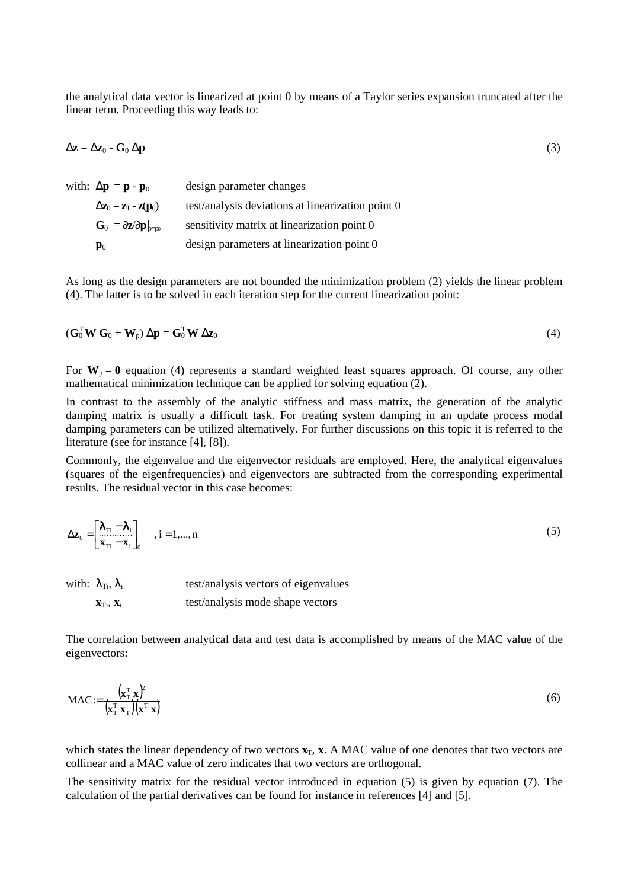the analytical data vector is linearized at point 0 by means of a Taylor series expansion truncated after the linear term. Proceeding this way leads to:

$$
\Delta z = \Delta z_0 - G_0 \Delta p \tag{3}
$$

| with: $\Delta \mathbf{p} = \mathbf{p} - \mathbf{p}_0$                    | design parameter changes                          |
|--------------------------------------------------------------------------|---------------------------------------------------|
| $\Delta z_0 = z_T - z(p_0)$                                              | test/analysis deviations at linearization point 0 |
| $\mathbf{G}_0 = \partial \mathbf{z}/\partial \mathbf{p}$ <sub>p=p0</sub> | sensitivity matrix at linearization point 0       |
| $\mathbf{p}_0$                                                           | design parameters at linearization point 0        |

As long as the design parameters are not bounded the minimization problem (2) yields the linear problem (4). The latter is to be solved in each iteration step for the current linearization point:

$$
(\mathbf{G}_0^{\mathrm{T}} \mathbf{W} \mathbf{G}_0 + \mathbf{W}_p) \Delta \mathbf{p} = \mathbf{G}_0^{\mathrm{T}} \mathbf{W} \Delta \mathbf{z}_0
$$
 (4)

For  $W_p = 0$  equation (4) represents a standard weighted least squares approach. Of course, any other mathematical minimization technique can be applied for solving equation (2).

In contrast to the assembly of the analytic stiffness and mass matrix, the generation of the analytic damping matrix is usually a difficult task. For treating system damping in an update process modal damping parameters can be utilized alternatively. For further discussions on this topic it is referred to the literature (see for instance [4], [8]).

Commonly, the eigenvalue and the eigenvector residuals are employed. Here, the analytical eigenvalues (squares of the eigenfrequencies) and eigenvectors are subtracted from the corresponding experimental results. The residual vector in this case becomes:

$$
\Delta z_0 = \begin{bmatrix} \lambda_{\text{ri}} - \lambda_i \\ x_{\text{ri}} - x_i \end{bmatrix}_0, \quad i = 1,..., n
$$
\n(5)

| with: $\lambda_{\text{Ti}}$ , $\lambda_i$ | test/analysis vectors of eigenvalues |  |  |  |  |
|-------------------------------------------|--------------------------------------|--|--|--|--|
| $X_{Ti}$ , $X_i$                          | test/analysis mode shape vectors     |  |  |  |  |

The correlation between analytical data and test data is accomplished by means of the MAC value of the eigenvectors:

$$
\text{MAC} := \frac{\left(\mathbf{x}_1^{\mathrm{T}} \ \mathbf{x}\right)^2}{\left(\mathbf{x}_1^{\mathrm{T}} \ \mathbf{x}_1\right)\left(\mathbf{x}^{\mathrm{T}} \ \mathbf{x}\right)}
$$
(6)

which states the linear dependency of two vectors  $\mathbf{x}_T$ ,  $\mathbf{x}$ . A MAC value of one denotes that two vectors are collinear and a MAC value of zero indicates that two vectors are orthogonal.

The sensitivity matrix for the residual vector introduced in equation (5) is given by equation (7). The calculation of the partial derivatives can be found for instance in references [4] and [5].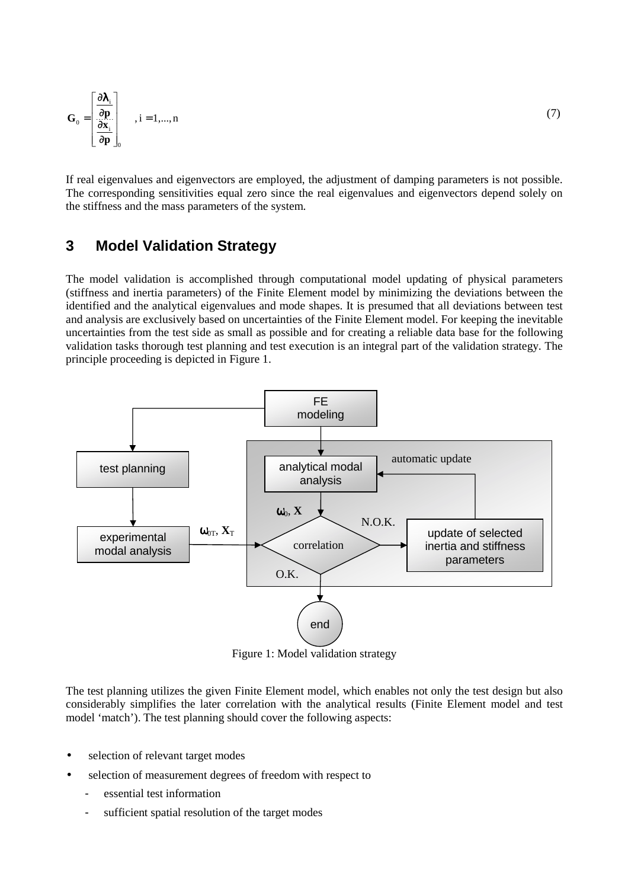$$
\mathbf{G}_0 = \begin{bmatrix} \frac{\partial \lambda_i}{\partial \mathbf{p}} \\ \frac{\partial \mathbf{x}_i}{\partial \mathbf{p}} \end{bmatrix}_{0}, i = 1,..., n
$$

If real eigenvalues and eigenvectors are employed, the adjustment of damping parameters is not possible. The corresponding sensitivities equal zero since the real eigenvalues and eigenvectors depend solely on the stiffness and the mass parameters of the system.

# **3 Model Validation Strategy**

The model validation is accomplished through computational model updating of physical parameters (stiffness and inertia parameters) of the Finite Element model by minimizing the deviations between the identified and the analytical eigenvalues and mode shapes. It is presumed that all deviations between test and analysis are exclusively based on uncertainties of the Finite Element model. For keeping the inevitable uncertainties from the test side as small as possible and for creating a reliable data base for the following validation tasks thorough test planning and test execution is an integral part of the validation strategy. The principle proceeding is depicted in Figure 1.



Figure 1: Model validation strategy

The test planning utilizes the given Finite Element model, which enables not only the test design but also considerably simplifies the later correlation with the analytical results (Finite Element model and test model 'match'). The test planning should cover the following aspects:

- selection of relevant target modes
- selection of measurement degrees of freedom with respect to
	- essential test information
	- sufficient spatial resolution of the target modes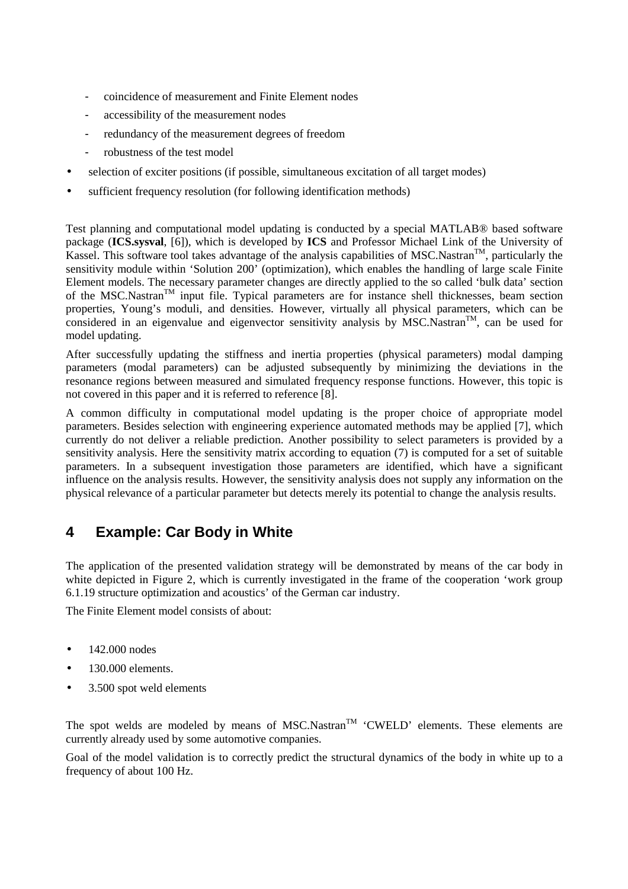- coincidence of measurement and Finite Element nodes
- accessibility of the measurement nodes
- redundancy of the measurement degrees of freedom
- robustness of the test model
- selection of exciter positions (if possible, simultaneous excitation of all target modes)
- sufficient frequency resolution (for following identification methods)

Test planning and computational model updating is conducted by a special MATLAB® based software package (**ICS.sysval**, [6]), which is developed by **ICS** and Professor Michael Link of the University of Kassel. This software tool takes advantage of the analysis capabilities of MSC.Nastran<sup>TM</sup>, particularly the sensitivity module within 'Solution 200' (optimization), which enables the handling of large scale Finite Element models. The necessary parameter changes are directly applied to the so called 'bulk data' section of the MSC.Nastran<sup>TM</sup> input file. Typical parameters are for instance shell thicknesses, beam section properties, Young's moduli, and densities. However, virtually all physical parameters, which can be considered in an eigenvalue and eigenvector sensitivity analysis by MSC.Nastran<sup>TM</sup>, can be used for model updating.

After successfully updating the stiffness and inertia properties (physical parameters) modal damping parameters (modal parameters) can be adjusted subsequently by minimizing the deviations in the resonance regions between measured and simulated frequency response functions. However, this topic is not covered in this paper and it is referred to reference [8].

A common difficulty in computational model updating is the proper choice of appropriate model parameters. Besides selection with engineering experience automated methods may be applied [7], which currently do not deliver a reliable prediction. Another possibility to select parameters is provided by a sensitivity analysis. Here the sensitivity matrix according to equation (7) is computed for a set of suitable parameters. In a subsequent investigation those parameters are identified, which have a significant influence on the analysis results. However, the sensitivity analysis does not supply any information on the physical relevance of a particular parameter but detects merely its potential to change the analysis results.

# **4 Example: Car Body in White**

The application of the presented validation strategy will be demonstrated by means of the car body in white depicted in Figure 2, which is currently investigated in the frame of the cooperation 'work group 6.1.19 structure optimization and acoustics' of the German car industry.

The Finite Element model consists of about:

- 142,000 nodes
- 130.000 elements.
- 3.500 spot weld elements

The spot welds are modeled by means of MSC.Nastran<sup>TM</sup> 'CWELD' elements. These elements are currently already used by some automotive companies.

Goal of the model validation is to correctly predict the structural dynamics of the body in white up to a frequency of about 100 Hz.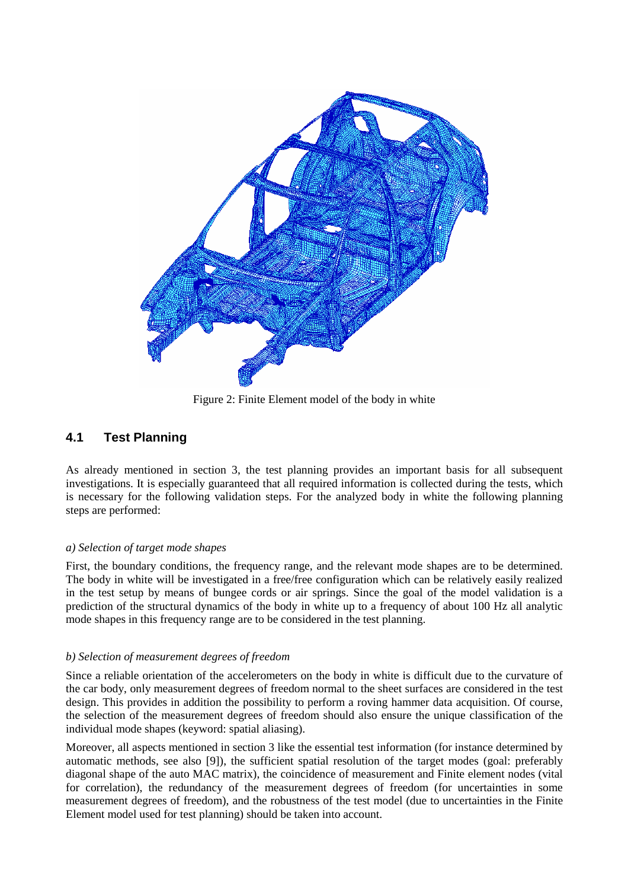

Figure 2: Finite Element model of the body in white

### **4.1 Test Planning**

As already mentioned in section 3, the test planning provides an important basis for all subsequent investigations. It is especially guaranteed that all required information is collected during the tests, which is necessary for the following validation steps. For the analyzed body in white the following planning steps are performed:

#### *a) Selection of target mode shapes*

First, the boundary conditions, the frequency range, and the relevant mode shapes are to be determined. The body in white will be investigated in a free/free configuration which can be relatively easily realized in the test setup by means of bungee cords or air springs. Since the goal of the model validation is a prediction of the structural dynamics of the body in white up to a frequency of about 100 Hz all analytic mode shapes in this frequency range are to be considered in the test planning.

#### *b) Selection of measurement degrees of freedom*

Since a reliable orientation of the accelerometers on the body in white is difficult due to the curvature of the car body, only measurement degrees of freedom normal to the sheet surfaces are considered in the test design. This provides in addition the possibility to perform a roving hammer data acquisition. Of course, the selection of the measurement degrees of freedom should also ensure the unique classification of the individual mode shapes (keyword: spatial aliasing).

Moreover, all aspects mentioned in section 3 like the essential test information (for instance determined by automatic methods, see also [9]), the sufficient spatial resolution of the target modes (goal: preferably diagonal shape of the auto MAC matrix), the coincidence of measurement and Finite element nodes (vital for correlation), the redundancy of the measurement degrees of freedom (for uncertainties in some measurement degrees of freedom), and the robustness of the test model (due to uncertainties in the Finite Element model used for test planning) should be taken into account.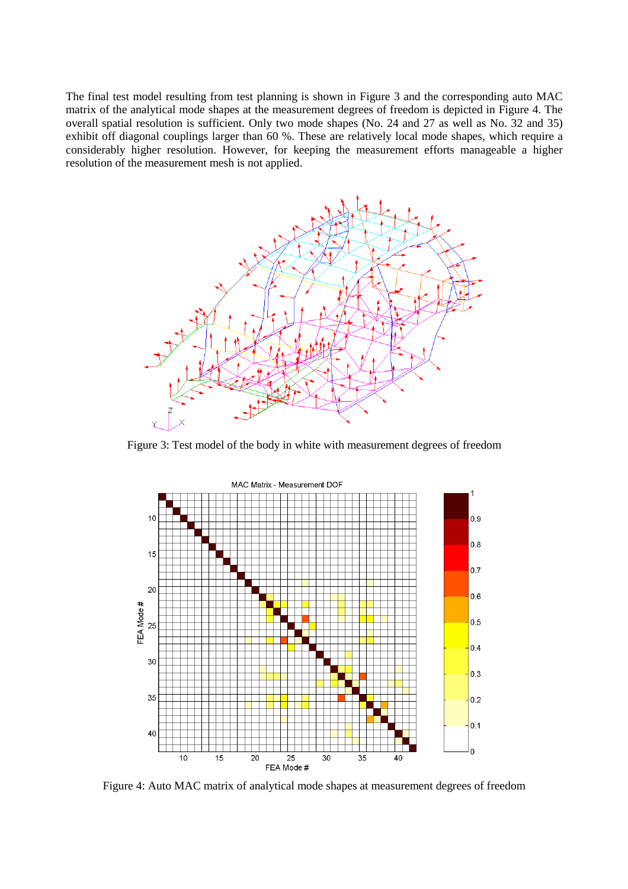The final test model resulting from test planning is shown in Figure 3 and the corresponding auto MAC matrix of the analytical mode shapes at the measurement degrees of freedom is depicted in Figure 4. The overall spatial resolution is sufficient. Only two mode shapes (No. 24 and 27 as well as No. 32 and 35) exhibit off diagonal couplings larger than 60 %. These are relatively local mode shapes, which require a considerably higher resolution. However, for keeping the measurement efforts manageable a higher resolution of the measurement mesh is not applied.



Figure 3: Test model of the body in white with measurement degrees of freedom



Figure 4: Auto MAC matrix of analytical mode shapes at measurement degrees of freedom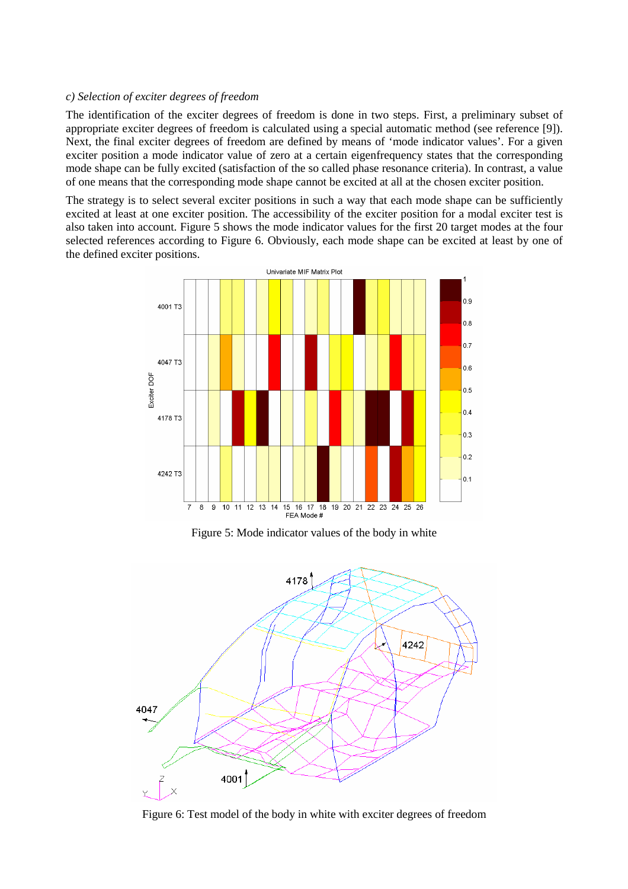#### *c) Selection of exciter degrees of freedom*

The identification of the exciter degrees of freedom is done in two steps. First, a preliminary subset of appropriate exciter degrees of freedom is calculated using a special automatic method (see reference [9]). Next, the final exciter degrees of freedom are defined by means of 'mode indicator values'. For a given exciter position a mode indicator value of zero at a certain eigenfrequency states that the corresponding mode shape can be fully excited (satisfaction of the so called phase resonance criteria). In contrast, a value of one means that the corresponding mode shape cannot be excited at all at the chosen exciter position.

The strategy is to select several exciter positions in such a way that each mode shape can be sufficiently excited at least at one exciter position. The accessibility of the exciter position for a modal exciter test is also taken into account. Figure 5 shows the mode indicator values for the first 20 target modes at the four selected references according to Figure 6. Obviously, each mode shape can be excited at least by one of the defined exciter positions.



Figure 5: Mode indicator values of the body in white



Figure 6: Test model of the body in white with exciter degrees of freedom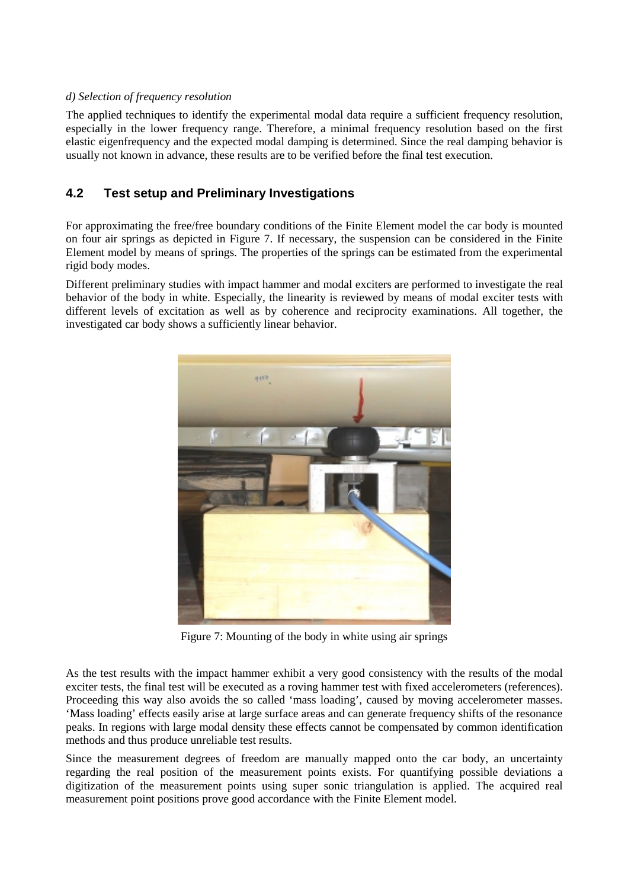#### *d) Selection of frequency resolution*

The applied techniques to identify the experimental modal data require a sufficient frequency resolution, especially in the lower frequency range. Therefore, a minimal frequency resolution based on the first elastic eigenfrequency and the expected modal damping is determined. Since the real damping behavior is usually not known in advance, these results are to be verified before the final test execution.

### **4.2 Test setup and Preliminary Investigations**

For approximating the free/free boundary conditions of the Finite Element model the car body is mounted on four air springs as depicted in Figure 7. If necessary, the suspension can be considered in the Finite Element model by means of springs. The properties of the springs can be estimated from the experimental rigid body modes.

Different preliminary studies with impact hammer and modal exciters are performed to investigate the real behavior of the body in white. Especially, the linearity is reviewed by means of modal exciter tests with different levels of excitation as well as by coherence and reciprocity examinations. All together, the investigated car body shows a sufficiently linear behavior.



Figure 7: Mounting of the body in white using air springs

As the test results with the impact hammer exhibit a very good consistency with the results of the modal exciter tests, the final test will be executed as a roving hammer test with fixed accelerometers (references). Proceeding this way also avoids the so called 'mass loading', caused by moving accelerometer masses. 'Mass loading' effects easily arise at large surface areas and can generate frequency shifts of the resonance peaks. In regions with large modal density these effects cannot be compensated by common identification methods and thus produce unreliable test results.

Since the measurement degrees of freedom are manually mapped onto the car body, an uncertainty regarding the real position of the measurement points exists. For quantifying possible deviations a digitization of the measurement points using super sonic triangulation is applied. The acquired real measurement point positions prove good accordance with the Finite Element model.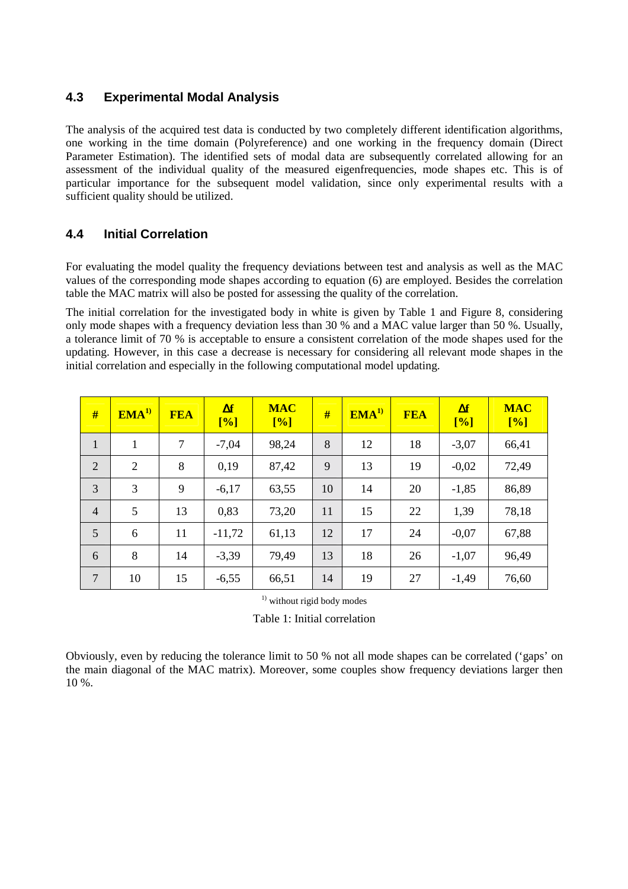### **4.3 Experimental Modal Analysis**

The analysis of the acquired test data is conducted by two completely different identification algorithms, one working in the time domain (Polyreference) and one working in the frequency domain (Direct Parameter Estimation). The identified sets of modal data are subsequently correlated allowing for an assessment of the individual quality of the measured eigenfrequencies, mode shapes etc. This is of particular importance for the subsequent model validation, since only experimental results with a sufficient quality should be utilized.

### **4.4 Initial Correlation**

For evaluating the model quality the frequency deviations between test and analysis as well as the MAC values of the corresponding mode shapes according to equation (6) are employed. Besides the correlation table the MAC matrix will also be posted for assessing the quality of the correlation.

The initial correlation for the investigated body in white is given by Table 1 and Figure 8, considering only mode shapes with a frequency deviation less than 30 % and a MAC value larger than 50 %. Usually, a tolerance limit of 70 % is acceptable to ensure a consistent correlation of the mode shapes used for the updating. However, in this case a decrease is necessary for considering all relevant mode shapes in the initial correlation and especially in the following computational model updating.

| #              | EMA <sup>1</sup> | <b>FEA</b> | $\Delta f$<br>[%] | <b>MAC</b><br>[%] | #  | EMA <sup>1</sup> | <b>FEA</b> | $\Delta f$<br>[%] | <b>MAC</b><br>[%] |
|----------------|------------------|------------|-------------------|-------------------|----|------------------|------------|-------------------|-------------------|
| $\mathbf{1}$   | 1                | 7          | $-7,04$           | 98,24             | 8  | 12               | 18         | $-3,07$           | 66,41             |
| 2              | 2                | 8          | 0,19              | 87,42             | 9  | 13               | 19         | $-0,02$           | 72,49             |
| 3              | 3                | 9          | $-6,17$           | 63,55             | 10 | 14               | 20         | $-1,85$           | 86,89             |
| $\overline{4}$ | 5                | 13         | 0,83              | 73,20             | 11 | 15               | 22         | 1,39              | 78,18             |
| 5              | 6                | 11         | $-11,72$          | 61,13             | 12 | 17               | 24         | $-0,07$           | 67,88             |
| 6              | 8                | 14         | $-3,39$           | 79,49             | 13 | 18               | 26         | $-1,07$           | 96,49             |
| $\overline{7}$ | 10               | 15         | $-6,55$           | 66,51             | 14 | 19               | 27         | $-1,49$           | 76,60             |

<sup>1)</sup> without rigid body modes

Table 1: Initial correlation

Obviously, even by reducing the tolerance limit to 50 % not all mode shapes can be correlated ('gaps' on the main diagonal of the MAC matrix). Moreover, some couples show frequency deviations larger then 10 %.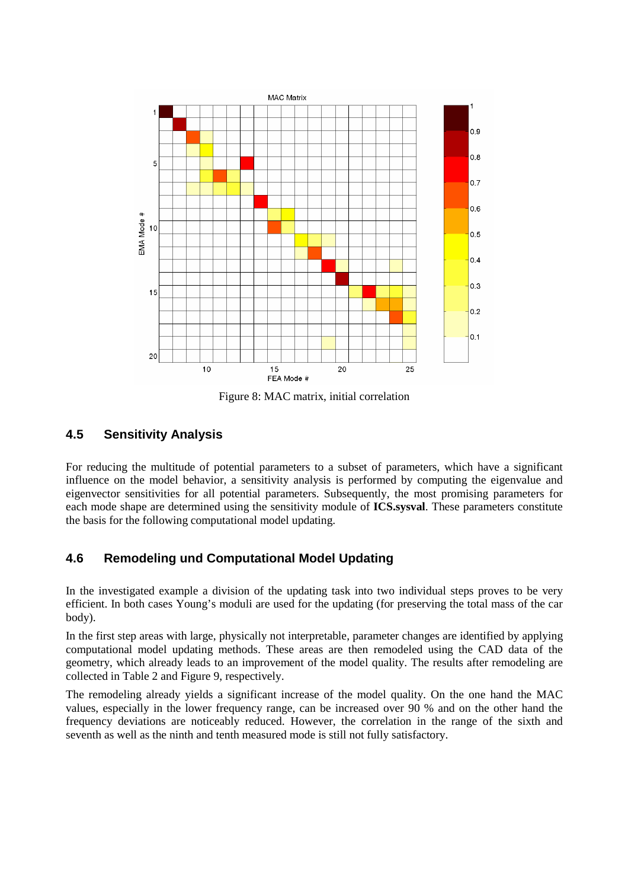

Figure 8: MAC matrix, initial correlation

### **4.5 Sensitivity Analysis**

For reducing the multitude of potential parameters to a subset of parameters, which have a significant influence on the model behavior, a sensitivity analysis is performed by computing the eigenvalue and eigenvector sensitivities for all potential parameters. Subsequently, the most promising parameters for each mode shape are determined using the sensitivity module of **ICS.sysval**. These parameters constitute the basis for the following computational model updating.

### **4.6 Remodeling und Computational Model Updating**

In the investigated example a division of the updating task into two individual steps proves to be very efficient. In both cases Young's moduli are used for the updating (for preserving the total mass of the car body).

In the first step areas with large, physically not interpretable, parameter changes are identified by applying computational model updating methods. These areas are then remodeled using the CAD data of the geometry, which already leads to an improvement of the model quality. The results after remodeling are collected in Table 2 and Figure 9, respectively.

The remodeling already yields a significant increase of the model quality. On the one hand the MAC values, especially in the lower frequency range, can be increased over 90 % and on the other hand the frequency deviations are noticeably reduced. However, the correlation in the range of the sixth and seventh as well as the ninth and tenth measured mode is still not fully satisfactory.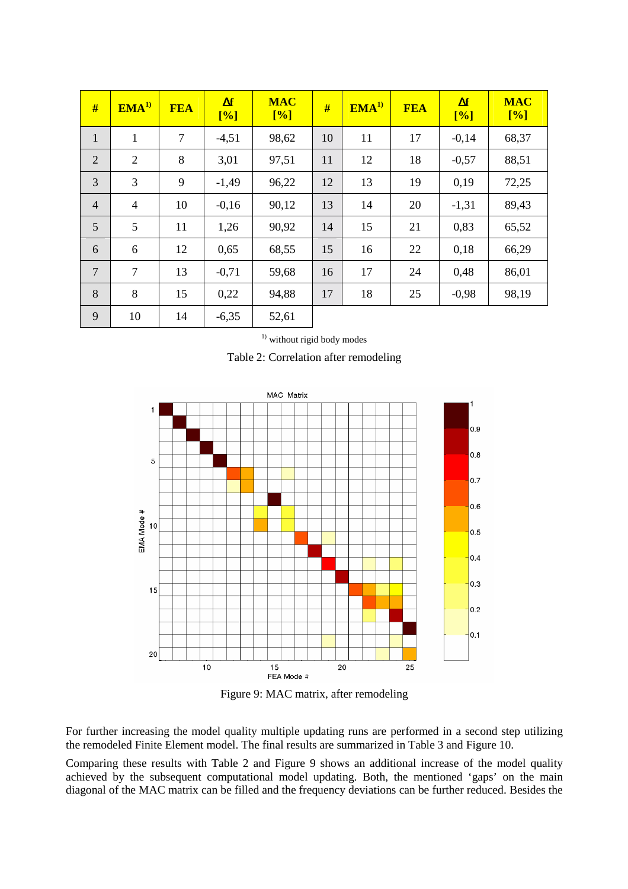| #              | EMA <sup>1</sup> | <b>FEA</b>     | $\Delta f$<br>[%] | <b>MAC</b><br>[%] | #  | EMA <sup>1</sup> | <b>FEA</b> | $\Delta f$<br>[%] | <b>MAC</b><br>[%] |
|----------------|------------------|----------------|-------------------|-------------------|----|------------------|------------|-------------------|-------------------|
| $\mathbf{1}$   | $\mathbf{1}$     | $\overline{7}$ | $-4,51$           | 98,62             | 10 | 11               | 17         | $-0,14$           | 68,37             |
| $\overline{2}$ | 2                | 8              | 3,01              | 97,51             | 11 | 12               | 18         | $-0,57$           | 88,51             |
| 3              | 3                | 9              | $-1,49$           | 96,22             | 12 | 13               | 19         | 0,19              | 72,25             |
| $\overline{4}$ | $\overline{4}$   | 10             | $-0,16$           | 90,12             | 13 | 14               | 20         | $-1,31$           | 89,43             |
| 5              | 5                | 11             | 1,26              | 90,92             | 14 | 15               | 21         | 0,83              | 65,52             |
| 6              | 6                | 12             | 0,65              | 68,55             | 15 | 16               | 22         | 0,18              | 66,29             |
| $\overline{7}$ | $\overline{7}$   | 13             | $-0,71$           | 59,68             | 16 | 17               | 24         | 0,48              | 86,01             |
| 8              | 8                | 15             | 0,22              | 94,88             | 17 | 18               | 25         | $-0,98$           | 98,19             |
| 9              | 10               | 14             | $-6,35$           | 52,61             |    |                  |            |                   |                   |

<sup>1)</sup> without rigid body modes

Table 2: Correlation after remodeling



Figure 9: MAC matrix, after remodeling

For further increasing the model quality multiple updating runs are performed in a second step utilizing the remodeled Finite Element model. The final results are summarized in Table 3 and Figure 10.

Comparing these results with Table 2 and Figure 9 shows an additional increase of the model quality achieved by the subsequent computational model updating. Both, the mentioned 'gaps' on the main diagonal of the MAC matrix can be filled and the frequency deviations can be further reduced. Besides the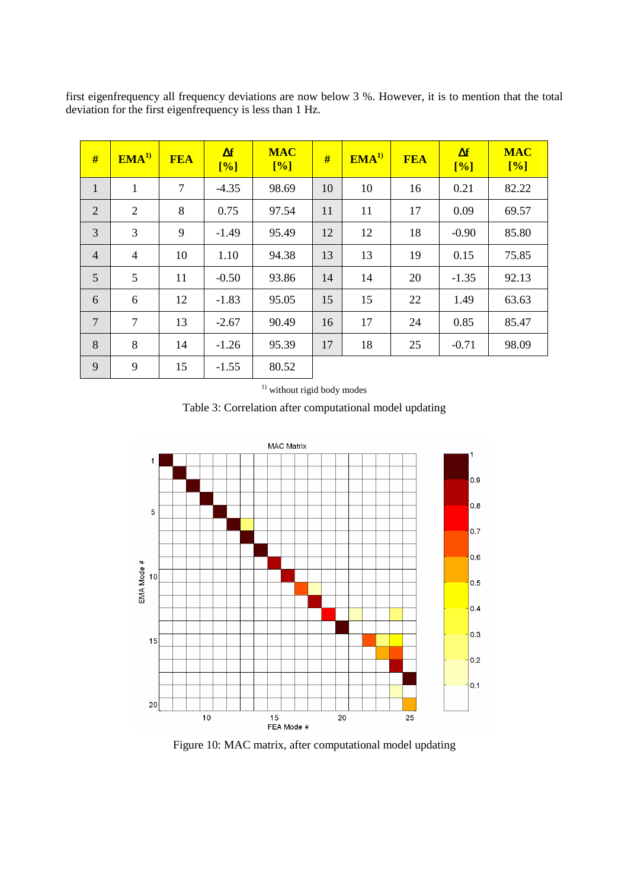| #              | EMA <sup>1</sup> | <b>FEA</b>     | $\Delta f$<br>[%] | <b>MAC</b><br>[%] | #  | EMA <sup>1</sup> | <b>FEA</b> | $\Delta f$<br>[%] | <b>MAC</b><br>[%] |
|----------------|------------------|----------------|-------------------|-------------------|----|------------------|------------|-------------------|-------------------|
| $\mathbf{1}$   | 1                | $\overline{7}$ | $-4.35$           | 98.69             | 10 | 10               | 16         | 0.21              | 82.22             |
| 2              | 2                | 8              | 0.75              | 97.54             | 11 | 11               | 17         | 0.09              | 69.57             |
| $\overline{3}$ | 3                | 9              | $-1.49$           | 95.49             | 12 | 12               | 18         | $-0.90$           | 85.80             |
| $\overline{4}$ | $\overline{4}$   | 10             | 1.10              | 94.38             | 13 | 13               | 19         | 0.15              | 75.85             |
| 5              | 5                | 11             | $-0.50$           | 93.86             | 14 | 14               | 20         | $-1.35$           | 92.13             |
| 6              | 6                | 12             | $-1.83$           | 95.05             | 15 | 15               | 22         | 1.49              | 63.63             |
| 7              | $\overline{7}$   | 13             | $-2.67$           | 90.49             | 16 | 17               | 24         | 0.85              | 85.47             |
| 8              | 8                | 14             | $-1.26$           | 95.39             | 17 | 18               | 25         | $-0.71$           | 98.09             |
| 9              | 9                | 15             | $-1.55$           | 80.52             |    |                  |            |                   |                   |

first eigenfrequency all frequency deviations are now below 3 %. However, it is to mention that the total deviation for the first eigenfrequency is less than 1 Hz.

<sup>1)</sup> without rigid body modes





Figure 10: MAC matrix, after computational model updating